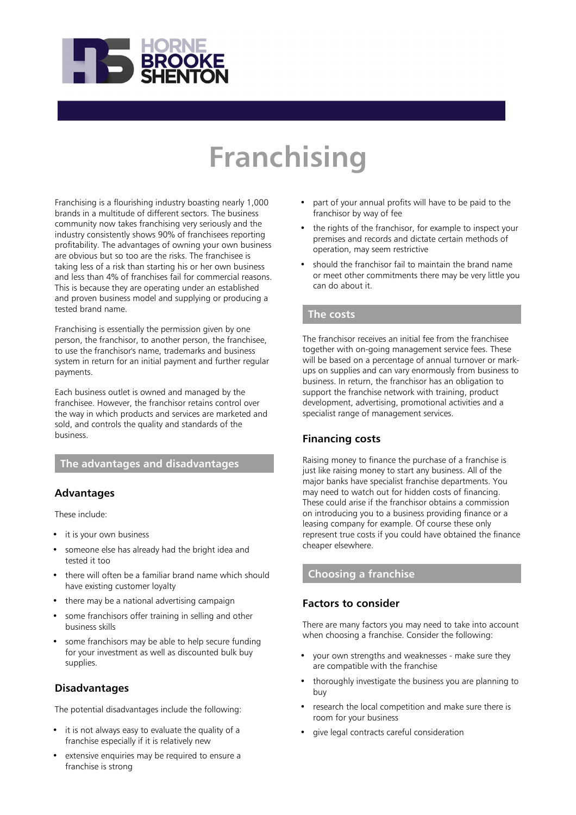

# **Franchising**

Franchising is a flourishing industry boasting nearly 1,000 brands in a multitude of different sectors. The business community now takes franchising very seriously and the industry consistently shows 90% of franchisees reporting profitability. The advantages of owning your own business are obvious but so too are the risks. The franchisee is taking less of a risk than starting his or her own business and less than 4% of franchises fail for commercial reasons. This is because they are operating under an established and proven business model and supplying or producing a tested brand name.

Franchising is essentially the permission given by one person, the franchisor, to another person, the franchisee, to use the franchisor's name, trademarks and business system in return for an initial payment and further regular payments.

Each business outlet is owned and managed by the franchisee. However, the franchisor retains control over the way in which products and services are marketed and sold, and controls the quality and standards of the business.

## **The advantages and disadvantages**

## **Advantages**

These include:

- it is your own business
- someone else has already had the bright idea and tested it too
- there will often be a familiar brand name which should have existing customer loyalty
- there may be a national advertising campaign
- some franchisors offer training in selling and other business skills
- some franchisors may be able to help secure funding for your investment as well as discounted bulk buy supplies.

## **Disadvantages**

The potential disadvantages include the following:

- it is not always easy to evaluate the quality of a franchise especially if it is relatively new
- extensive enquiries may be required to ensure a franchise is strong
- part of your annual profits will have to be paid to the franchisor by way of fee
- the rights of the franchisor, for example to inspect your premises and records and dictate certain methods of operation, may seem restrictive
- should the franchisor fail to maintain the brand name or meet other commitments there may be very little you can do about it.

## **The costs**

The franchisor receives an initial fee from the franchisee together with on-going management service fees. These will be based on a percentage of annual turnover or markups on supplies and can vary enormously from business to business. In return, the franchisor has an obligation to support the franchise network with training, product development, advertising, promotional activities and a specialist range of management services.

## **Financing costs**

Raising money to finance the purchase of a franchise is just like raising money to start any business. All of the major banks have specialist franchise departments. You may need to watch out for hidden costs of financing. These could arise if the franchisor obtains a commission on introducing you to a business providing finance or a leasing company for example. Of course these only represent true costs if you could have obtained the finance cheaper elsewhere.

# **Choosing a franchise**

## **Factors to consider**

There are many factors you may need to take into account when choosing a franchise. Consider the following:

- your own strengths and weaknesses make sure they are compatible with the franchise
- thoroughly investigate the business you are planning to buy
- research the local competition and make sure there is room for your business
- give legal contracts careful consideration